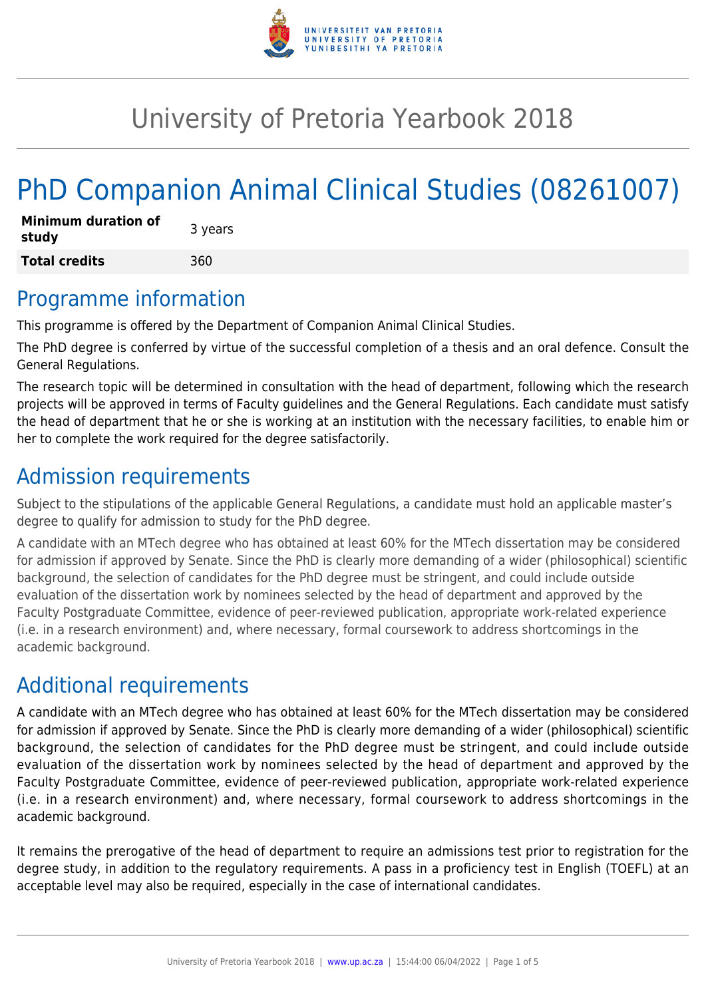

## University of Pretoria Yearbook 2018

# PhD Companion Animal Clinical Studies (08261007)

| <b>Minimum duration of</b><br>study | 3 years |
|-------------------------------------|---------|
| <b>Total credits</b>                | 360     |

#### Programme information

This programme is offered by the Department of Companion Animal Clinical Studies.

The PhD degree is conferred by virtue of the successful completion of a thesis and an oral defence. Consult the General Regulations.

The research topic will be determined in consultation with the head of department, following which the research projects will be approved in terms of Faculty guidelines and the General Regulations. Each candidate must satisfy the head of department that he or she is working at an institution with the necessary facilities, to enable him or her to complete the work required for the degree satisfactorily.

#### Admission requirements

Subject to the stipulations of the applicable General Regulations, a candidate must hold an applicable master's degree to qualify for admission to study for the PhD degree.

A candidate with an MTech degree who has obtained at least 60% for the MTech dissertation may be considered for admission if approved by Senate. Since the PhD is clearly more demanding of a wider (philosophical) scientific background, the selection of candidates for the PhD degree must be stringent, and could include outside evaluation of the dissertation work by nominees selected by the head of department and approved by the Faculty Postgraduate Committee, evidence of peer-reviewed publication, appropriate work-related experience (i.e. in a research environment) and, where necessary, formal coursework to address shortcomings in the academic background.

## Additional requirements

A candidate with an MTech degree who has obtained at least 60% for the MTech dissertation may be considered for admission if approved by Senate. Since the PhD is clearly more demanding of a wider (philosophical) scientific background, the selection of candidates for the PhD degree must be stringent, and could include outside evaluation of the dissertation work by nominees selected by the head of department and approved by the Faculty Postgraduate Committee, evidence of peer-reviewed publication, appropriate work-related experience (i.e. in a research environment) and, where necessary, formal coursework to address shortcomings in the academic background.

It remains the prerogative of the head of department to require an admissions test prior to registration for the degree study, in addition to the regulatory requirements. A pass in a proficiency test in English (TOEFL) at an acceptable level may also be required, especially in the case of international candidates.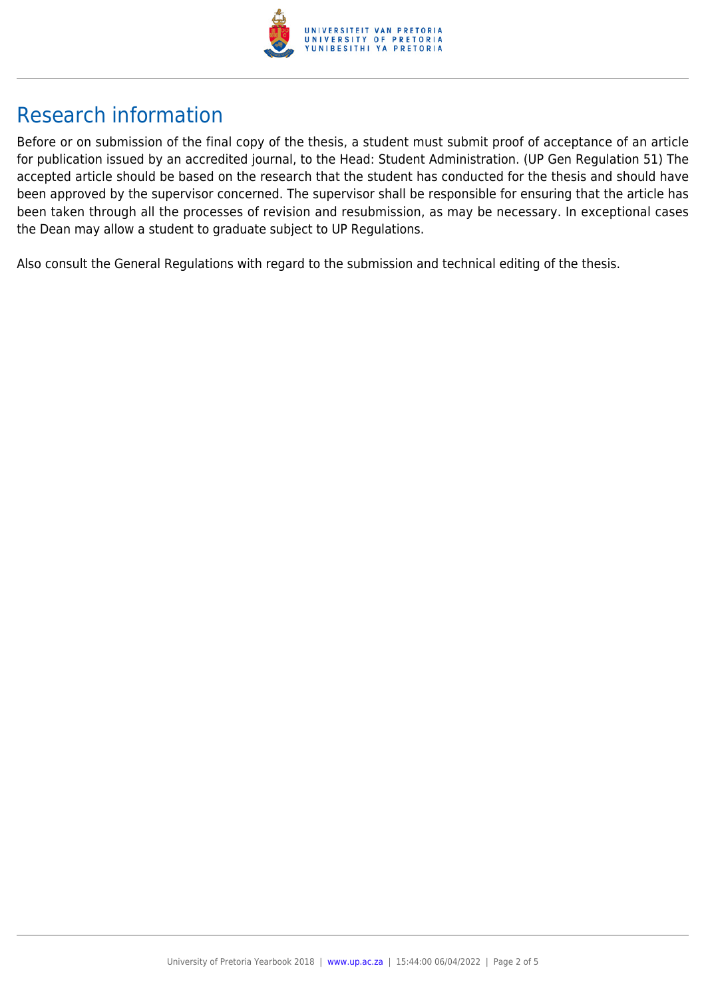

## Research information

Before or on submission of the final copy of the thesis, a student must submit proof of acceptance of an article for publication issued by an accredited journal, to the Head: Student Administration. (UP Gen Regulation 51) The accepted article should be based on the research that the student has conducted for the thesis and should have been approved by the supervisor concerned. The supervisor shall be responsible for ensuring that the article has been taken through all the processes of revision and resubmission, as may be necessary. In exceptional cases the Dean may allow a student to graduate subject to UP Regulations.

Also consult the General Regulations with regard to the submission and technical editing of the thesis.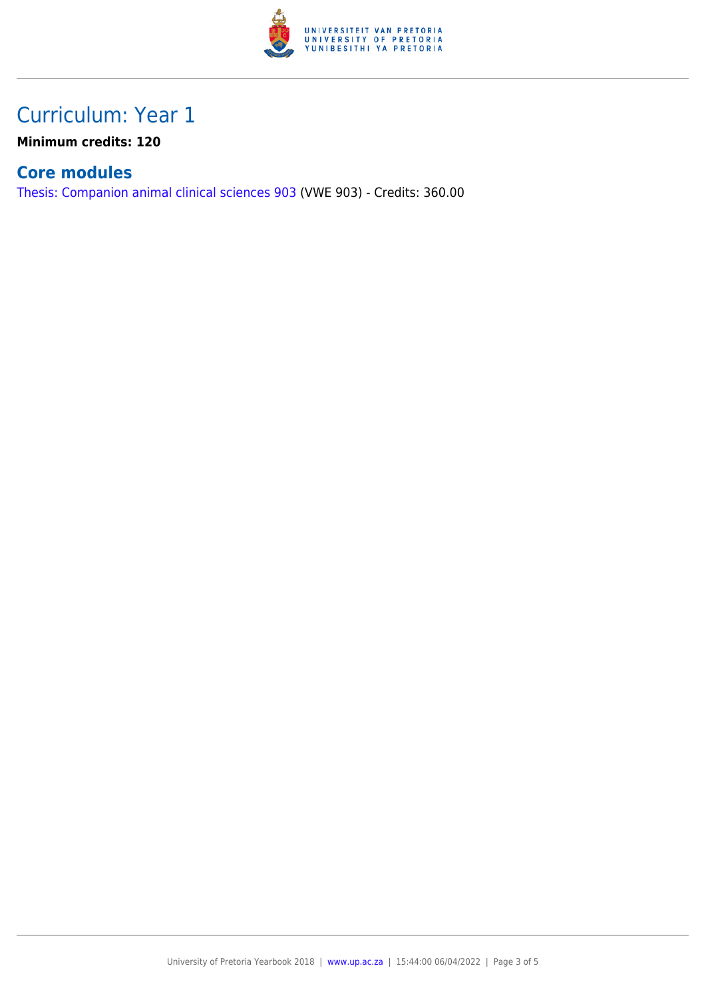

## Curriculum: Year 1

**Minimum credits: 120**

#### **Core modules**

[Thesis: Companion animal clinical sciences 903](https://www.up.ac.za/parents/yearbooks/2018/modules/view/VWE 903) (VWE 903) - Credits: 360.00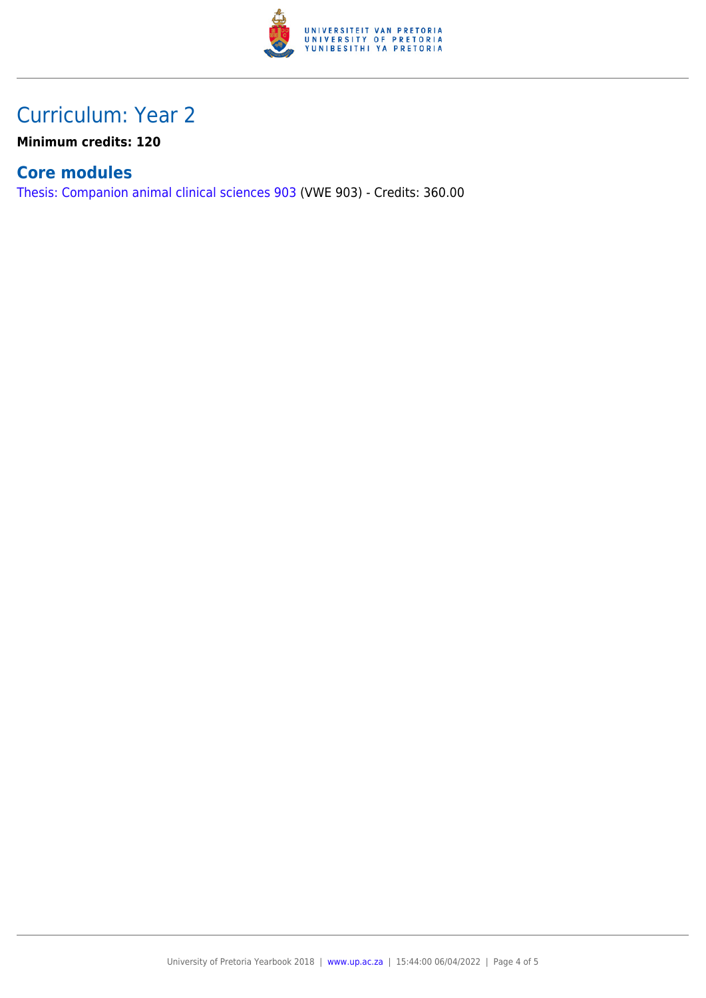

## Curriculum: Year 2

**Minimum credits: 120**

#### **Core modules**

[Thesis: Companion animal clinical sciences 903](https://www.up.ac.za/parents/yearbooks/2018/modules/view/VWE 903) (VWE 903) - Credits: 360.00